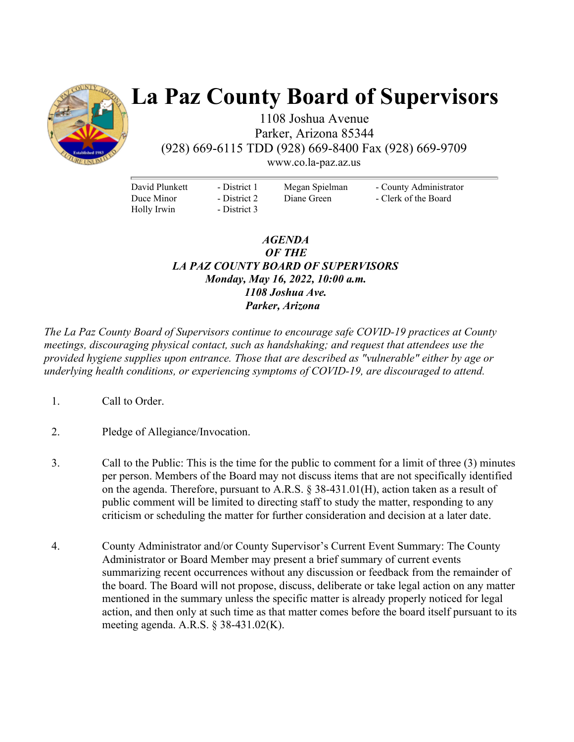

# **La Paz County Board of Supervisors**

1108 Joshua Avenue Parker, Arizona 85344 (928) 669-6115 TDD (928) 669-8400 Fax (928) 669-9709

www.co.la-paz.az.us

David Plunkett Duce Minor Holly Irwin

- District 1 - District 2 - District 3 Megan Spielman Diane Green

- County Administrator - Clerk of the Board

## *AGENDA OF THE LA PAZ COUNTY BOARD OF SUPERVISORS Monday, May 16, 2022, 10:00 a.m. 1108 Joshua Ave. Parker, Arizona*

*The La Paz County Board of Supervisors continue to encourage safe COVID-19 practices at County meetings, discouraging physical contact, such as handshaking; and request that attendees use the provided hygiene supplies upon entrance. Those that are described as "vulnerable" either by age or underlying health conditions, or experiencing symptoms of COVID-19, are discouraged to attend.* 

- 1. Call to Order.
- 2. Pledge of Allegiance/Invocation.
- 3. Call to the Public: This is the time for the public to comment for a limit of three (3) minutes per person. Members of the Board may not discuss items that are not specifically identified on the agenda. Therefore, pursuant to A.R.S. § 38-431.01(H), action taken as a result of public comment will be limited to directing staff to study the matter, responding to any criticism or scheduling the matter for further consideration and decision at a later date.
- 4. County Administrator and/or County Supervisor's Current Event Summary: The County Administrator or Board Member may present a brief summary of current events summarizing recent occurrences without any discussion or feedback from the remainder of the board. The Board will not propose, discuss, deliberate or take legal action on any matter mentioned in the summary unless the specific matter is already properly noticed for legal action, and then only at such time as that matter comes before the board itself pursuant to its meeting agenda. A.R.S. § 38-431.02(K).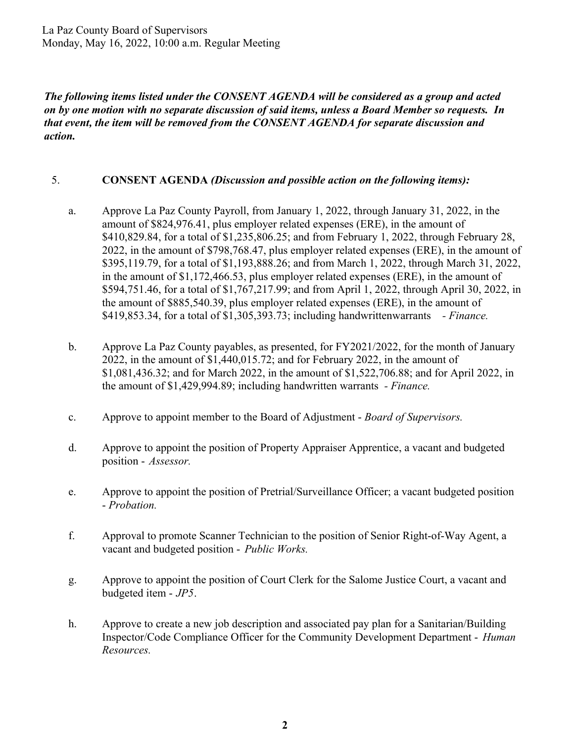La Paz County Board of Supervisors Monday, May 16, 2022, 10:00 a.m. Regular Meeting

*The following items listed under the CONSENT AGENDA will be considered as a group and acted on by one motion with no separate discussion of said items, unless a Board Member so requests. In that event, the item will be removed from the CONSENT AGENDA for separate discussion and action.* 

#### 5. **CONSENT AGENDA** *(Discussion and possible action on the following items):*

- a. Approve La Paz County Payroll, from January 1, 2022, through January 31, 2022, in the amount of \$824,976.41, plus employer related expenses (ERE), in the amount of \$410,829.84, for a total of \$1,235,806.25; and from February 1, 2022, through February 28, 2022, in the amount of \$798,768.47, plus employer related expenses (ERE), in the amount of \$395,119.79, for a total of \$1,193,888.26; and from March 1, 2022, through March 31, 2022, in the amount of \$1,172,466.53, plus employer related expenses (ERE), in the amount of \$594,751.46, for a total of \$1,767,217.99; and from April 1, 2022, through April 30, 2022, in the amount of \$885,540.39, plus employer related expenses (ERE), in the amount of \$419,853.34, for a total of \$1,305,393.73; including handwrittenwarrants *- Finance.*
- b. Approve La Paz County payables, as presented, for FY2021/2022, for the month of January 2022, in the amount of \$1,440,015.72; and for February 2022, in the amount of \$1,081,436.32; and for March 2022, in the amount of \$1,522,706.88; and for April 2022, in the amount of \$1,429,994.89; including handwritten warrants *- Finance.*
- c. Approve to appoint member to the Board of Adjustment *Board of Supervisors.*
- d. Approve to appoint the position of Property Appraiser Apprentice, a vacant and budgeted position - *Assessor.*
- e. Approve to appoint the position of Pretrial/Surveillance Officer; a vacant budgeted position - *Probation.*
- f. Approval to promote Scanner Technician to the position of Senior Right-of-Way Agent, a vacant and budgeted position - *Public Works.*
- g. Approve to appoint the position of Court Clerk for the Salome Justice Court, a vacant and budgeted item - *JP5*.
- h. Approve to create a new job description and associated pay plan for a Sanitarian/Building Inspector/Code Compliance Officer for the Community Development Department - *Human Resources.*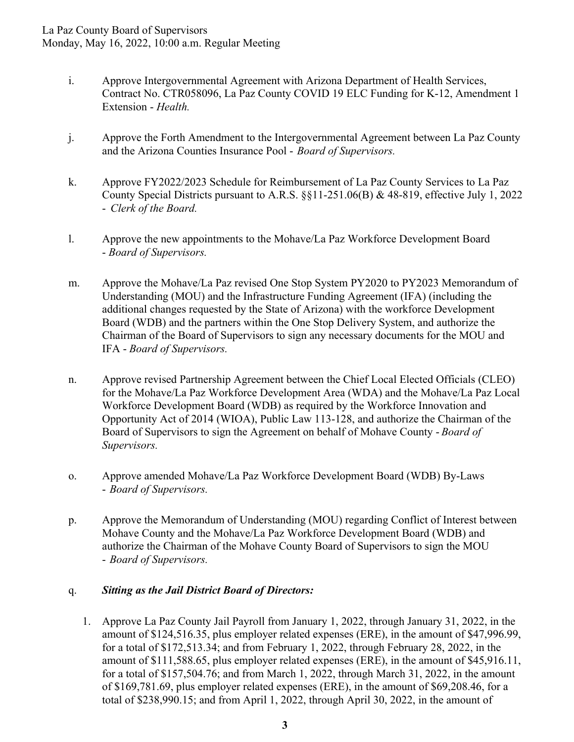- i. Approve Intergovernmental Agreement with Arizona Department of Health Services, Contract No. CTR058096, La Paz County COVID 19 ELC Funding for K-12, Amendment 1 Extension - *Health.*
- j. Approve the Forth Amendment to the Intergovernmental Agreement between La Paz County and the Arizona Counties Insurance Pool - *Board of Supervisors.*
- k. Approve FY2022/2023 Schedule for Reimbursement of La Paz County Services to La Paz County Special Districts pursuant to A.R.S. §§11-251.06(B) & 48-819, effective July 1, 2022 - *Clerk of the Board.*
- l. Approve the new appointments to the Mohave/La Paz Workforce Development Board - *Board of Supervisors.*
- m. Approve the Mohave/La Paz revised One Stop System PY2020 to PY2023 Memorandum of Understanding (MOU) and the Infrastructure Funding Agreement (IFA) (including the additional changes requested by the State of Arizona) with the workforce Development Board (WDB) and the partners within the One Stop Delivery System, and authorize the Chairman of the Board of Supervisors to sign any necessary documents for the MOU and IFA - *Board of Supervisors.*
- n. Approve revised Partnership Agreement between the Chief Local Elected Officials (CLEO) for the Mohave/La Paz Workforce Development Area (WDA) and the Mohave/La Paz Local Workforce Development Board (WDB) as required by the Workforce Innovation and Opportunity Act of 2014 (WIOA), Public Law 113-128, and authorize the Chairman of the Board of Supervisors to sign the Agreement on behalf of Mohave County - *Board of Supervisors.*
- o. Approve amended Mohave/La Paz Workforce Development Board (WDB) By-Laws - *Board of Supervisors.*
- p. Approve the Memorandum of Understanding (MOU) regarding Conflict of Interest between Mohave County and the Mohave/La Paz Workforce Development Board (WDB) and authorize the Chairman of the Mohave County Board of Supervisors to sign the MOU - *Board of Supervisors.*

# q. *Sitting as the Jail District Board of Directors:*

1. Approve La Paz County Jail Payroll from January 1, 2022, through January 31, 2022, in the amount of \$124,516.35, plus employer related expenses (ERE), in the amount of \$47,996.99, for a total of \$172,513.34; and from February 1, 2022, through February 28, 2022, in the amount of \$111,588.65, plus employer related expenses (ERE), in the amount of \$45,916.11, for a total of \$157,504.76; and from March 1, 2022, through March 31, 2022, in the amount of \$169,781.69, plus employer related expenses (ERE), in the amount of \$69,208.46, for a total of \$238,990.15; and from April 1, 2022, through April 30, 2022, in the amount of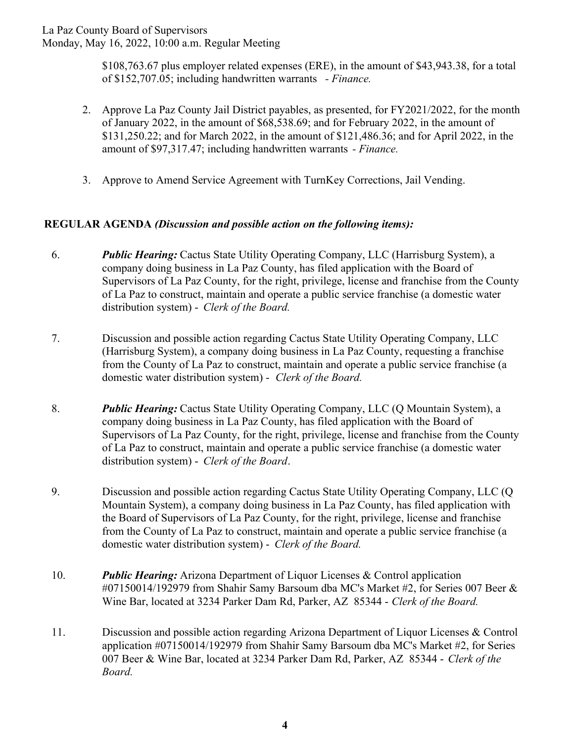La Paz County Board of Supervisors

Monday, May 16, 2022, 10:00 a.m. Regular Meeting

\$108,763.67 plus employer related expenses (ERE), in the amount of \$43,943.38, for a total of \$152,707.05; including handwritten warrants *- Finance.* 

- 2. Approve La Paz County Jail District payables, as presented, for FY2021/2022, for the month of January 2022, in the amount of \$68,538.69; and for February 2022, in the amount of \$131,250.22; and for March 2022, in the amount of \$121,486.36; and for April 2022, in the amount of \$97,317.47; including handwritten warrants *- Finance.*
- 3. Approve to Amend Service Agreement with TurnKey Corrections, Jail Vending.

## **REGULAR AGENDA** *(Discussion and possible action on the following items):*

- 6. *Public Hearing:* Cactus State Utility Operating Company, LLC (Harrisburg System), a company doing business in La Paz County, has filed application with the Board of Supervisors of La Paz County, for the right, privilege, license and franchise from the County of La Paz to construct, maintain and operate a public service franchise (a domestic water distribution system) - *Clerk of the Board.*
- 7. Discussion and possible action regarding Cactus State Utility Operating Company, LLC (Harrisburg System), a company doing business in La Paz County, requesting a franchise from the County of La Paz to construct, maintain and operate a public service franchise (a domestic water distribution system) - *Clerk of the Board.*
- 8. *Public Hearing:* Cactus State Utility Operating Company, LLC (Q Mountain System), a company doing business in La Paz County, has filed application with the Board of Supervisors of La Paz County, for the right, privilege, license and franchise from the County of La Paz to construct, maintain and operate a public service franchise (a domestic water distribution system) - *Clerk of the Board*.
- 9. Discussion and possible action regarding Cactus State Utility Operating Company, LLC (Q Mountain System), a company doing business in La Paz County, has filed application with the Board of Supervisors of La Paz County, for the right, privilege, license and franchise from the County of La Paz to construct, maintain and operate a public service franchise (a domestic water distribution system) - *Clerk of the Board.*
- 10. *Public Hearing:* Arizona Department of Liquor Licenses & Control application #07150014/192979 from Shahir Samy Barsoum dba MC's Market #2, for Series 007 Beer & Wine Bar, located at 3234 Parker Dam Rd, Parker, AZ 85344 - *Clerk of the Board.*
- 11. Discussion and possible action regarding Arizona Department of Liquor Licenses & Control application #07150014/192979 from Shahir Samy Barsoum dba MC's Market #2, for Series 007 Beer & Wine Bar, located at 3234 Parker Dam Rd, Parker, AZ 85344 - *Clerk of the Board.*